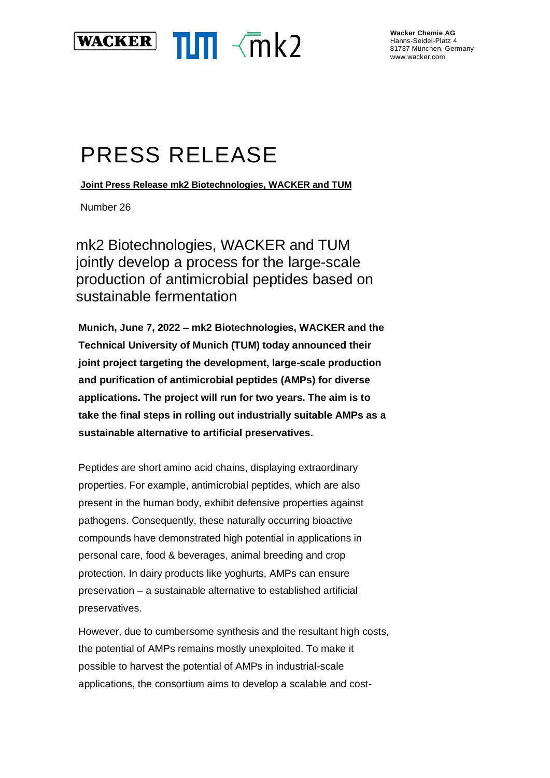

**Wacker Chemie AG** Hanns-Seidel-Platz 4 81737 München, Germany www.wacker.com

## PRESS RELEASE

**Joint Press Release mk2 Biotechnologies, WACKER and TUM**

Number 26

mk2 Biotechnologies, WACKER and TUM jointly develop a process for the large-scale production of antimicrobial peptides based on sustainable fermentation

**Munich, June 7, 2022 – mk2 Biotechnologies, WACKER and the Technical University of Munich (TUM) today announced their joint project targeting the development, large-scale production and purification of antimicrobial peptides (AMPs) for diverse applications. The project will run for two years. The aim is to take the final steps in rolling out industrially suitable AMPs as a sustainable alternative to artificial preservatives.**

Peptides are short amino acid chains, displaying extraordinary properties. For example, antimicrobial peptides, which are also present in the human body, exhibit defensive properties against pathogens. Consequently, these naturally occurring bioactive compounds have demonstrated high potential in applications in personal care, food & beverages, animal breeding and crop protection. In dairy products like yoghurts, AMPs can ensure preservation – a sustainable alternative to established artificial preservatives.

However, due to cumbersome synthesis and the resultant high costs, the potential of AMPs remains mostly unexploited. To make it possible to harvest the potential of AMPs in industrial-scale applications, the consortium aims to develop a scalable and cost-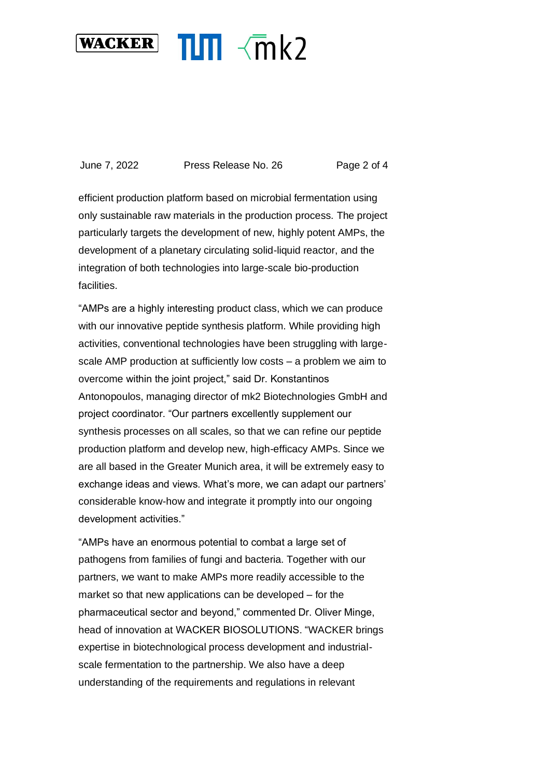

June 7, 2022 Press Release No. 26 Page 2 of 4

efficient production platform based on microbial fermentation using only sustainable raw materials in the production process. The project particularly targets the development of new, highly potent AMPs, the development of a planetary circulating solid-liquid reactor, and the integration of both technologies into large-scale bio-production facilities.

"AMPs are a highly interesting product class, which we can produce with our innovative peptide synthesis platform. While providing high activities, conventional technologies have been struggling with largescale AMP production at sufficiently low costs – a problem we aim to overcome within the joint project," said Dr. Konstantinos Antonopoulos, managing director of mk2 Biotechnologies GmbH and project coordinator. "Our partners excellently supplement our synthesis processes on all scales, so that we can refine our peptide production platform and develop new, high-efficacy AMPs. Since we are all based in the Greater Munich area, it will be extremely easy to exchange ideas and views. What's more, we can adapt our partners' considerable know-how and integrate it promptly into our ongoing development activities."

"AMPs have an enormous potential to combat a large set of pathogens from families of fungi and bacteria. Together with our partners, we want to make AMPs more readily accessible to the market so that new applications can be developed – for the pharmaceutical sector and beyond," commented Dr. Oliver Minge, head of innovation at WACKER BIOSOLUTIONS. "WACKER brings expertise in biotechnological process development and industrialscale fermentation to the partnership. We also have a deep understanding of the requirements and regulations in relevant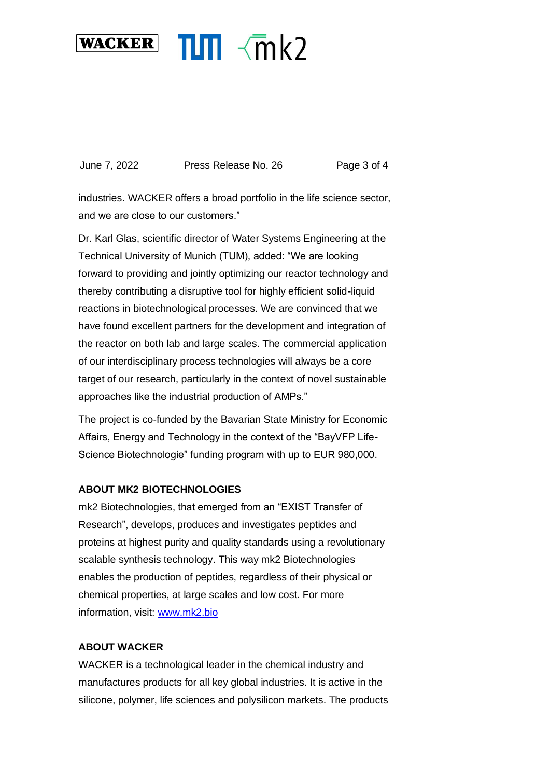

June 7, 2022 Press Release No. 26 Page 3 of 4

industries. WACKER offers a broad portfolio in the life science sector, and we are close to our customers."

Dr. Karl Glas, scientific director of Water Systems Engineering at the Technical University of Munich (TUM), added: "We are looking forward to providing and jointly optimizing our reactor technology and thereby contributing a disruptive tool for highly efficient solid-liquid reactions in biotechnological processes. We are convinced that we have found excellent partners for the development and integration of the reactor on both lab and large scales. The commercial application of our interdisciplinary process technologies will always be a core target of our research, particularly in the context of novel sustainable approaches like the industrial production of AMPs."

The project is co-funded by the Bavarian State Ministry for Economic Affairs, Energy and Technology in the context of the "BayVFP Life-Science Biotechnologie" funding program with up to EUR 980,000.

## **ABOUT MK2 BIOTECHNOLOGIES**

mk2 Biotechnologies, that emerged from an "EXIST Transfer of Research", develops, produces and investigates peptides and proteins at highest purity and quality standards using a revolutionary scalable synthesis technology. This way mk2 Biotechnologies enables the production of peptides, regardless of their physical or chemical properties, at large scales and low cost. For more information, visit: [www.mk2.bio](http://www.mk2.bio/)

## **ABOUT WACKER**

WACKER is a technological leader in the chemical industry and manufactures products for all key global industries. It is active in the silicone, polymer, life sciences and polysilicon markets. The products